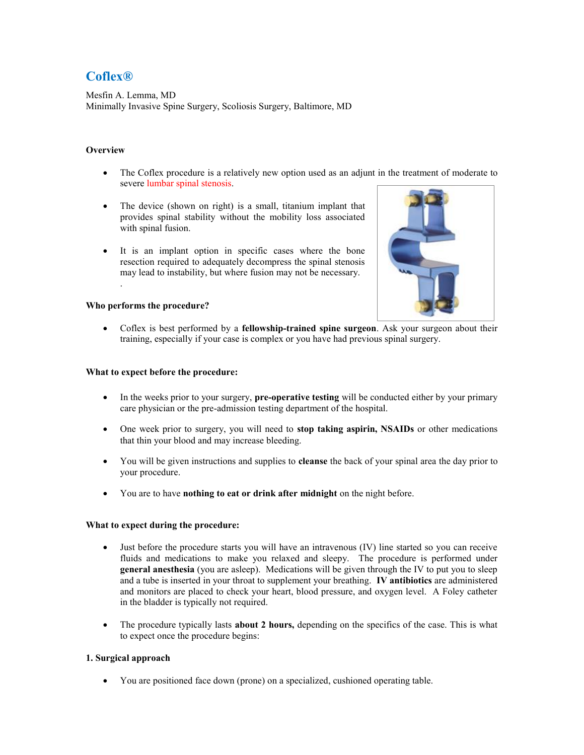# **Coflex®**

Mesfin A. Lemma, MD Minimally Invasive Spine Surgery, Scoliosis Surgery, Baltimore, MD

## **Overview**

- The Coflex procedure is a relatively new option used as an adjunt in the treatment of moderate to severe lumbar spinal stenosis.
- The device (shown on right) is a small, titanium implant that provides spinal stability without the mobility loss associated with spinal fusion.
- It is an implant option in specific cases where the bone resection required to adequately decompress the spinal stenosis may lead to instability, but where fusion may not be necessary. .



### **Who performs the procedure?**

 Coflex is best performed by a **fellowship-trained spine surgeon**. Ask your surgeon about their training, especially if your case is complex or you have had previous spinal surgery.

### **What to expect before the procedure:**

- In the weeks prior to your surgery, **pre-operative testing** will be conducted either by your primary care physician or the pre-admission testing department of the hospital.
- One week prior to surgery, you will need to **stop taking aspirin, NSAIDs** or other medications that thin your blood and may increase bleeding.
- You will be given instructions and supplies to **cleanse** the back of your spinal area the day prior to your procedure.
- You are to have **nothing to eat or drink after midnight** on the night before.

### **What to expect during the procedure:**

- Just before the procedure starts you will have an intravenous (IV) line started so you can receive fluids and medications to make you relaxed and sleepy. The procedure is performed under **general anesthesia** (you are asleep). Medications will be given through the IV to put you to sleep and a tube is inserted in your throat to supplement your breathing. **IV antibiotics** are administered and monitors are placed to check your heart, blood pressure, and oxygen level. A Foley catheter in the bladder is typically not required.
- The procedure typically lasts **about 2 hours,** depending on the specifics of the case. This is what to expect once the procedure begins:

### **1. Surgical approach**

You are positioned face down (prone) on a specialized, cushioned operating table.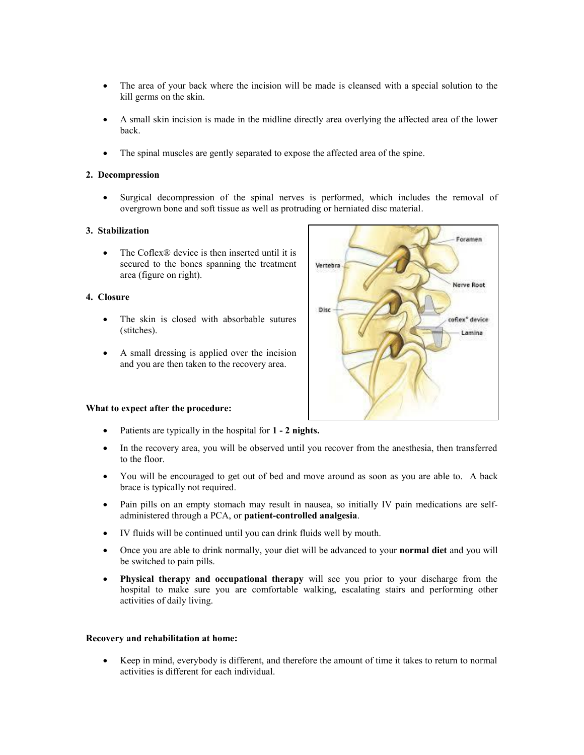- The area of your back where the incision will be made is cleansed with a special solution to the kill germs on the skin.
- A small skin incision is made in the midline directly area overlying the affected area of the lower back.
- The spinal muscles are gently separated to expose the affected area of the spine.

### **2. Decompression**

 Surgical decompression of the spinal nerves is performed, which includes the removal of overgrown bone and soft tissue as well as protruding or herniated disc material.

## **3. Stabilization**

• The Coflex® device is then inserted until it is secured to the bones spanning the treatment area (figure on right).

### **4. Closure**

- The skin is closed with absorbable sutures (stitches).
- A small dressing is applied over the incision and you are then taken to the recovery area.



#### **What to expect after the procedure:**

- Patients are typically in the hospital for **1 - 2 nights.**
- In the recovery area, you will be observed until you recover from the anesthesia, then transferred to the floor.
- You will be encouraged to get out of bed and move around as soon as you are able to. A back brace is typically not required.
- Pain pills on an empty stomach may result in nausea, so initially IV pain medications are selfadministered through a PCA, or **patient-controlled analgesia**.
- IV fluids will be continued until you can drink fluids well by mouth.
- Once you are able to drink normally, your diet will be advanced to your **normal diet** and you will be switched to pain pills.
- **Physical therapy and occupational therapy** will see you prior to your discharge from the hospital to make sure you are comfortable walking, escalating stairs and performing other activities of daily living.

### **Recovery and rehabilitation at home:**

 Keep in mind, everybody is different, and therefore the amount of time it takes to return to normal activities is different for each individual.